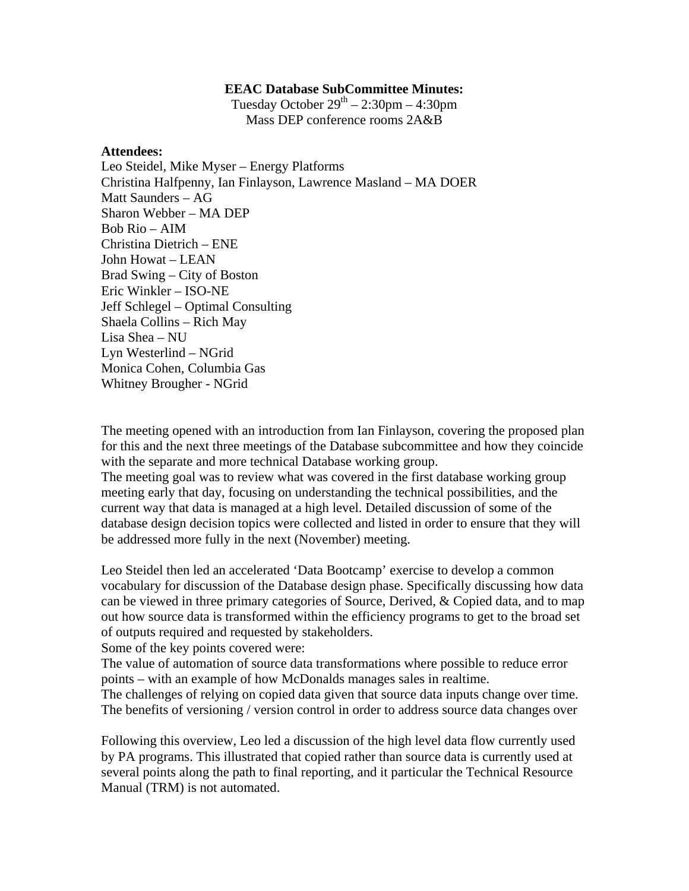## **EEAC Database SubCommittee Minutes:**

Tuesday October  $29<sup>th</sup> - 2:30pm - 4:30pm$ Mass DEP conference rooms 2A&B

## **Attendees:**

Leo Steidel, Mike Myser – Energy Platforms Christina Halfpenny, Ian Finlayson, Lawrence Masland – MA DOER Matt Saunders – AG Sharon Webber – MA DEP Bob Rio – AIM Christina Dietrich – ENE John Howat – LEAN Brad Swing – City of Boston Eric Winkler – ISO-NE Jeff Schlegel – Optimal Consulting Shaela Collins – Rich May Lisa Shea – NU Lyn Westerlind – NGrid Monica Cohen, Columbia Gas Whitney Brougher - NGrid

The meeting opened with an introduction from Ian Finlayson, covering the proposed plan for this and the next three meetings of the Database subcommittee and how they coincide with the separate and more technical Database working group.

The meeting goal was to review what was covered in the first database working group meeting early that day, focusing on understanding the technical possibilities, and the current way that data is managed at a high level. Detailed discussion of some of the database design decision topics were collected and listed in order to ensure that they will be addressed more fully in the next (November) meeting.

Leo Steidel then led an accelerated 'Data Bootcamp' exercise to develop a common vocabulary for discussion of the Database design phase. Specifically discussing how data can be viewed in three primary categories of Source, Derived, & Copied data, and to map out how source data is transformed within the efficiency programs to get to the broad set of outputs required and requested by stakeholders.

Some of the key points covered were:

The value of automation of source data transformations where possible to reduce error points – with an example of how McDonalds manages sales in realtime.

The challenges of relying on copied data given that source data inputs change over time. The benefits of versioning / version control in order to address source data changes over

Following this overview, Leo led a discussion of the high level data flow currently used by PA programs. This illustrated that copied rather than source data is currently used at several points along the path to final reporting, and it particular the Technical Resource Manual (TRM) is not automated.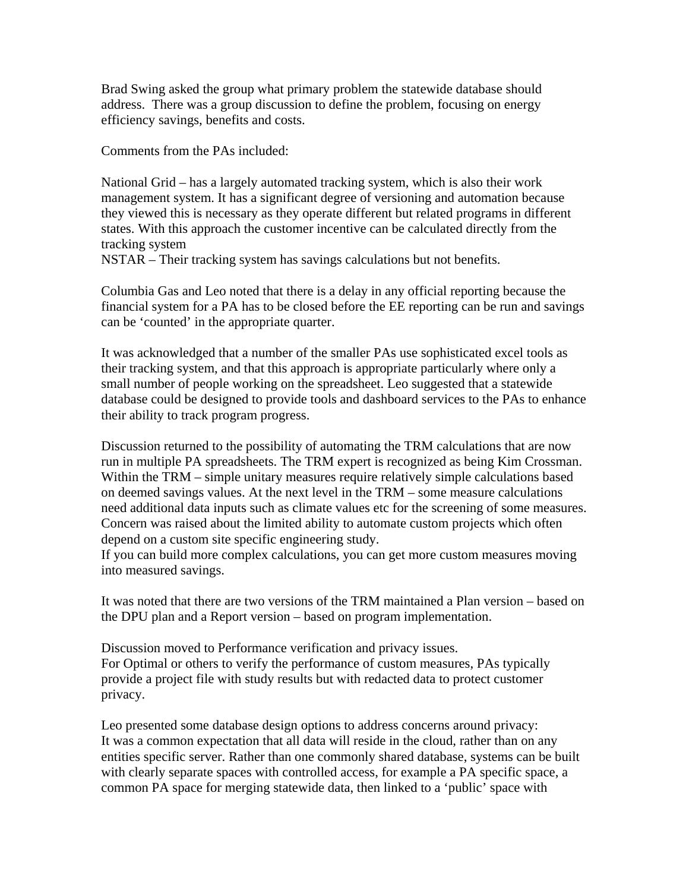Brad Swing asked the group what primary problem the statewide database should address. There was a group discussion to define the problem, focusing on energy efficiency savings, benefits and costs.

Comments from the PAs included:

National Grid – has a largely automated tracking system, which is also their work management system. It has a significant degree of versioning and automation because they viewed this is necessary as they operate different but related programs in different states. With this approach the customer incentive can be calculated directly from the tracking system

NSTAR – Their tracking system has savings calculations but not benefits.

Columbia Gas and Leo noted that there is a delay in any official reporting because the financial system for a PA has to be closed before the EE reporting can be run and savings can be 'counted' in the appropriate quarter.

It was acknowledged that a number of the smaller PAs use sophisticated excel tools as their tracking system, and that this approach is appropriate particularly where only a small number of people working on the spreadsheet. Leo suggested that a statewide database could be designed to provide tools and dashboard services to the PAs to enhance their ability to track program progress.

Discussion returned to the possibility of automating the TRM calculations that are now run in multiple PA spreadsheets. The TRM expert is recognized as being Kim Crossman. Within the TRM – simple unitary measures require relatively simple calculations based on deemed savings values. At the next level in the TRM – some measure calculations need additional data inputs such as climate values etc for the screening of some measures. Concern was raised about the limited ability to automate custom projects which often depend on a custom site specific engineering study.

If you can build more complex calculations, you can get more custom measures moving into measured savings.

It was noted that there are two versions of the TRM maintained a Plan version – based on the DPU plan and a Report version – based on program implementation.

Discussion moved to Performance verification and privacy issues. For Optimal or others to verify the performance of custom measures, PAs typically provide a project file with study results but with redacted data to protect customer privacy.

Leo presented some database design options to address concerns around privacy: It was a common expectation that all data will reside in the cloud, rather than on any entities specific server. Rather than one commonly shared database, systems can be built with clearly separate spaces with controlled access, for example a PA specific space, a common PA space for merging statewide data, then linked to a 'public' space with